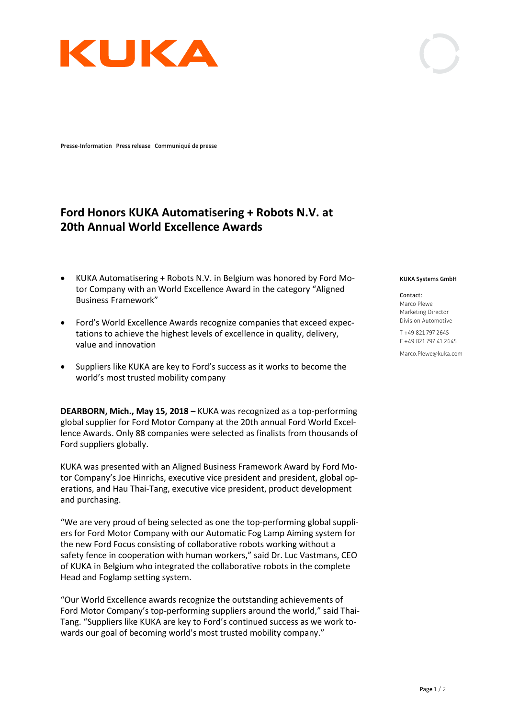

**Presse-Information Press release Communiqué de presse**

## **Ford Honors KUKA Automatisering + Robots N.V. at 20th Annual World Excellence Awards**

- KUKA Automatisering + Robots N.V. in Belgium was honored by Ford Motor Company with an World Excellence Award in the category "Aligned Business Framework"
- Ford's World Excellence Awards recognize companies that exceed expectations to achieve the highest levels of excellence in quality, delivery, value and innovation
- Suppliers like KUKA are key to Ford's success as it works to become the world's most trusted mobility company

**DEARBORN, Mich., May 15, 2018 –** KUKA was recognized as a top-performing global supplier for Ford Motor Company at the 20th annual Ford World Excellence Awards. Only 88 companies were selected as finalists from thousands of Ford suppliers globally.

KUKA was presented with an Aligned Business Framework Award by Ford Motor Company's Joe Hinrichs, executive vice president and president, global operations, and Hau Thai-Tang, executive vice president, product development and purchasing.

"We are very proud of being selected as one the top-performing global suppliers for Ford Motor Company with our Automatic Fog Lamp Aiming system for the new Ford Focus consisting of collaborative robots working without a safety fence in cooperation with human workers," said Dr. Luc Vastmans, CEO of KUKA in Belgium who integrated the collaborative robots in the complete Head and Foglamp setting system.

"Our World Excellence awards recognize the outstanding achievements of Ford Motor Company's top-performing suppliers around the world," said Thai-Tang. "Suppliers like KUKA are key to Ford's continued success as we work towards our goal of becoming world's most trusted mobility company."

## **KUKA Systems GmbH**

**Contact:** Marco Plewe Marketing Director Division Automotive

T +49 821 797 2645 F +49 821 797 41 2645

Marco.Plewe@kuka.com